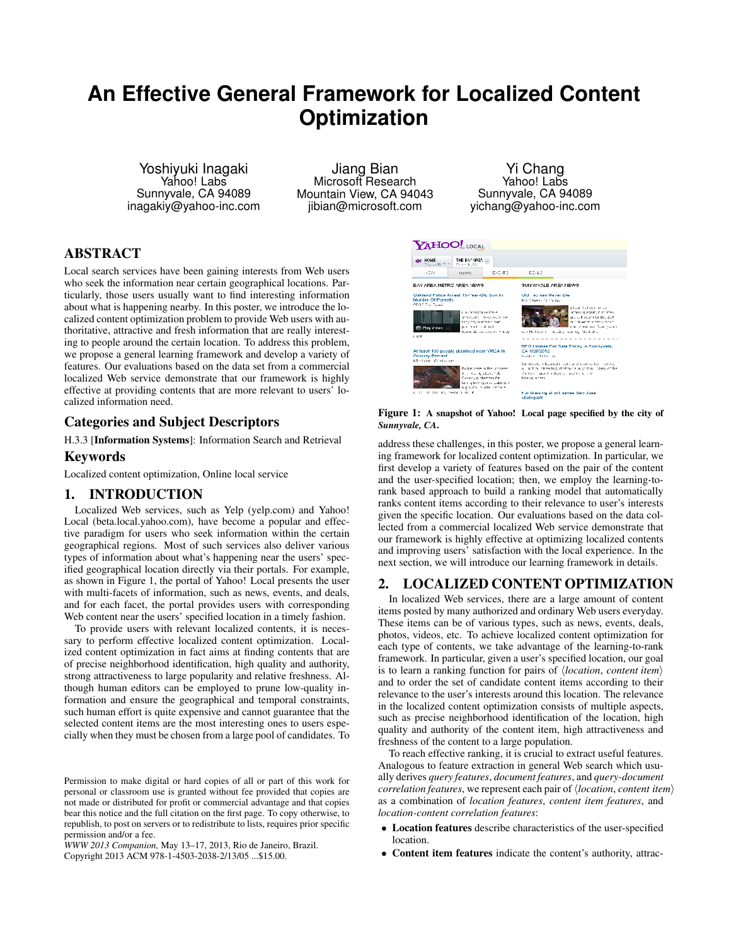# **An Effective General Framework for Localized Content Optimization**

Yoshiyuki Inagaki Yahoo! Labs Sunnyvale, CA 94089 inagakiy@yahoo-inc.com

Jiang Bian Microsoft Research Mountain View, CA 94043 jibian@microsoft.com

Yi Chang Yahoo! Labs Sunnyvale, CA 94089 yichang@yahoo-inc.com

# ABSTRACT

Local search services have been gaining interests from Web users who seek the information near certain geographical locations. Particularly, those users usually want to find interesting information about what is happening nearby. In this poster, we introduce the localized content optimization problem to provide Web users with authoritative, attractive and fresh information that are really interesting to people around the certain location. To address this problem, we propose a general learning framework and develop a variety of features. Our evaluations based on the data set from a commercial localized Web service demonstrate that our framework is highly effective at providing contents that are more relevant to users' localized information need.

## Categories and Subject Descriptors

H.3.3 [Information Systems]: Information Search and Retrieval

## Keywords

Localized content optimization, Online local service

## 1. INTRODUCTION

Localized Web services, such as Yelp (yelp.com) and Yahoo! Local (beta.local.yahoo.com), have become a popular and effective paradigm for users who seek information within the certain geographical regions. Most of such services also deliver various types of information about what's happening near the users' specified geographical location directly via their portals. For example, as shown in Figure 1, the portal of Yahoo! Local presents the user with multi-facets of information, such as news, events, and deals, and for each facet, the portal provides users with corresponding Web content near the users' specified location in a timely fashion.

To provide users with relevant localized contents, it is necessary to perform effective localized content optimization. Localized content optimization in fact aims at finding contents that are of precise neighborhood identification, high quality and authority, strong attractiveness to large popularity and relative freshness. Although human editors can be employed to prune low-quality information and ensure the geographical and temporal constraints, such human effort is quite expensive and cannot guarantee that the selected content items are the most interesting ones to users especially when they must be chosen from a large pool of candidates. To

*WWW 2013 Companion,* May 13–17, 2013, Rio de Janeiro, Brazil. Copyright 2013 ACM 978-1-4503-2038-2/13/05 ...\$15.00.



Figure 1: A snapshot of Yahoo! Local page specified by the city of *Sunnyvale, CA*.

address these challenges, in this poster, we propose a general learning framework for localized content optimization. In particular, we first develop a variety of features based on the pair of the content and the user-specified location; then, we employ the learning-torank based approach to build a ranking model that automatically ranks content items according to their relevance to user's interests given the specific location. Our evaluations based on the data collected from a commercial localized Web service demonstrate that our framework is highly effective at optimizing localized contents and improving users' satisfaction with the local experience. In the next section, we will introduce our learning framework in details.

## 2. LOCALIZED CONTENT OPTIMIZATION

In localized Web services, there are a large amount of content items posted by many authorized and ordinary Web users everyday. These items can be of various types, such as news, events, deals, photos, videos, etc. To achieve localized content optimization for each type of contents, we take advantage of the learning-to-rank framework. In particular, given a user's specified location, our goal is to learn a ranking function for pairs of  $\langle location, content\ item \rangle$ and to order the set of candidate content items according to their relevance to the user's interests around this location. The relevance in the localized content optimization consists of multiple aspects, such as precise neighborhood identification of the location, high quality and authority of the content item, high attractiveness and freshness of the content to a large population.

To reach effective ranking, it is crucial to extract useful features. Analogous to feature extraction in general Web search which usually derives *query features*, *document features*, and *query-document correlation features*, we represent each pair of  $\langle location, content\ item \rangle$ as a combination of *location features*, *content item features*, and *location-content correlation features*:

- Location features describe characteristics of the user-specified location.
- Content item features indicate the content's authority, attrac-

Permission to make digital or hard copies of all or part of this work for personal or classroom use is granted without fee provided that copies are not made or distributed for profit or commercial advantage and that copies bear this notice and the full citation on the first page. To copy otherwise, to republish, to post on servers or to redistribute to lists, requires prior specific permission and/or a fee.